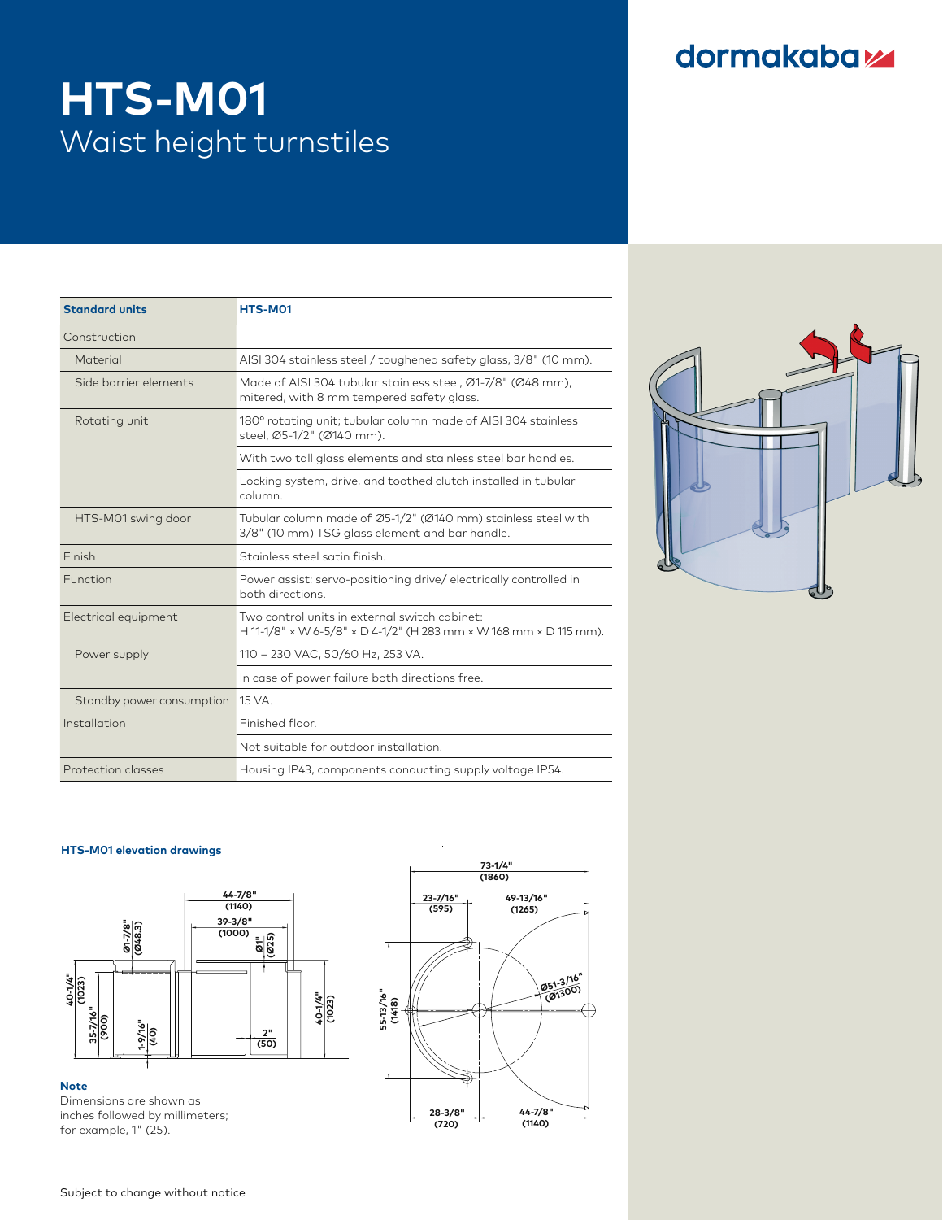## dormakabaz

 **40-1/4" (1023)**

 **1-9/16"**

# **HTS-M01**  $\blacksquare$  Waist height turnstiles

 **1-9/16"**

 **40-1/4" (1023)**

|                                  | HTS-M01                                                                                                            |
|----------------------------------|--------------------------------------------------------------------------------------------------------------------|
|                                  |                                                                                                                    |
|                                  | AISI 304 stainless steel / toughened safety glass, 3/8" (10 mm).                                                   |
| Side barrier elements            | Made of AISI 304 tubular stainless steel, Ø1-7/8" (Ø48 mm),<br>mitered, with 8 mm tempered safety glass.           |
|                                  | 180° rotating unit; tubular column made of AISI 304 stainless<br>steel, Ø5-1/2" (Ø140 mm).                         |
|                                  | With two tall glass elements and stainless steel bar handles.                                                      |
|                                  | Locking system, drive, and toothed clutch installed in tubular<br>column.                                          |
| HTS-M01 swing door               | Tubular column made of Ø5-1/2" (Ø140 mm) stainless steel with<br>3/8" (10 mm) TSG glass element and bar handle.    |
|                                  | Stainless steel satin finish.                                                                                      |
|                                  | Power assist; servo-positioning drive/electrically controlled in<br>both directions.                               |
| Electrical equipment             | Two control units in external switch cabinet:<br>H 11-1/8" x W 6-5/8" x D 4-1/2" (H 283 mm x W 168 mm x D 115 mm). |
|                                  | 110 - 230 VAC, 50/60 Hz, 253 VA.                                                                                   |
|                                  | In case of power failure both directions free.                                                                     |
| Standby power consumption 15 VA. |                                                                                                                    |
|                                  | Finished floor.                                                                                                    |
|                                  | Not suitable for outdoor installation.                                                                             |
| Protection classes               | Housing IP43, components conducting supply voltage IP54.                                                           |



#### **HTS-M01 elevation drawings HTS-M01**



**Note**

**(1860)** Dimensions are shown as **23-7/16" 49-13/16"** inches followed by millimeters; **(595)** for example, 1" (25).